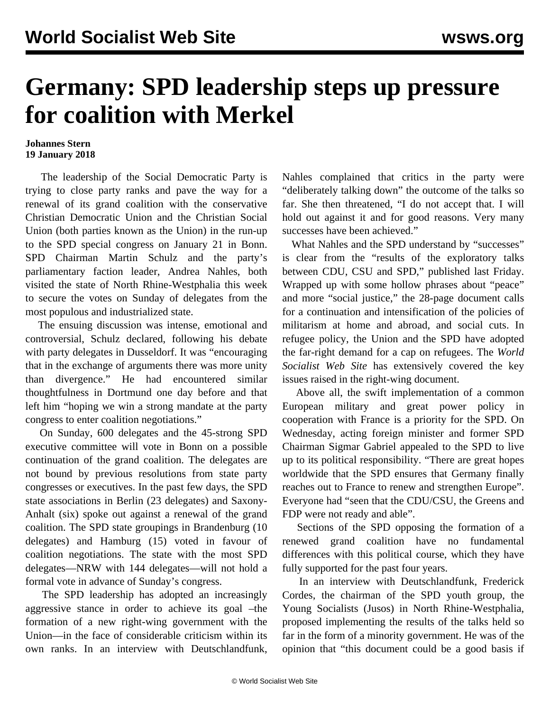## **Germany: SPD leadership steps up pressure for coalition with Merkel**

## **Johannes Stern 19 January 2018**

 The leadership of the Social Democratic Party is trying to close party ranks and pave the way for a renewal of its grand coalition with the conservative Christian Democratic Union and the Christian Social Union (both parties known as the Union) in the run-up to the SPD special congress on January 21 in Bonn. SPD Chairman Martin Schulz and the party's parliamentary faction leader, Andrea Nahles, both visited the state of North Rhine-Westphalia this week to secure the votes on Sunday of delegates from the most populous and industrialized state.

 The ensuing discussion was intense, emotional and controversial, Schulz declared, following his debate with party delegates in Dusseldorf. It was "encouraging that in the exchange of arguments there was more unity than divergence." He had encountered similar thoughtfulness in Dortmund one day before and that left him "hoping we win a strong mandate at the party congress to enter coalition negotiations."

 On Sunday, 600 delegates and the 45-strong SPD executive committee will vote in Bonn on a possible continuation of the grand coalition. The delegates are not bound by previous resolutions from state party congresses or executives. In the past few days, the SPD state associations in Berlin (23 delegates) and Saxony-Anhalt (six) spoke out against a renewal of the grand coalition. The SPD state groupings in Brandenburg (10 delegates) and Hamburg (15) voted in favour of coalition negotiations. The state with the most SPD delegates—NRW with 144 delegates—will not hold a formal vote in advance of Sunday's congress.

 The SPD leadership has adopted an increasingly aggressive stance in order to achieve its goal –the formation of a new right-wing government with the Union—in the face of considerable criticism within its own ranks. In an interview with Deutschlandfunk,

Nahles complained that critics in the party were "deliberately talking down" the outcome of the talks so far. She then threatened, "I do not accept that. I will hold out against it and for good reasons. Very many successes have been achieved."

 What Nahles and the SPD understand by "successes" is clear from the "results of the exploratory talks between CDU, CSU and SPD," published last Friday. Wrapped up with some hollow phrases about "peace" and more "social justice," the 28-page document calls for a continuation and intensification of the policies of militarism at home and abroad, and social cuts. In refugee policy, the Union and the SPD have adopted the far-right demand for a cap on refugees. The *World Socialist Web Site* has extensively [covered](/en/articles/2018/01/13/germ-j13.html) the key issues raised in the right-wing document.

 Above all, the swift implementation of a common European military and great power policy in cooperation with France is a priority for the SPD. On Wednesday, acting foreign minister and former SPD Chairman Sigmar Gabriel appealed to the SPD to live up to its political responsibility. "There are great hopes worldwide that the SPD ensures that Germany finally reaches out to France to renew and strengthen Europe". Everyone had "seen that the CDU/CSU, the Greens and FDP were not ready and able".

 Sections of the SPD opposing the formation of a renewed grand coalition have no fundamental differences with this political course, which they have fully supported for the past four years.

 In an interview with Deutschlandfunk, Frederick Cordes, the chairman of the SPD youth group, the Young Socialists (Jusos) in North Rhine-Westphalia, proposed implementing the results of the talks held so far in the form of a minority government. He was of the opinion that "this document could be a good basis if